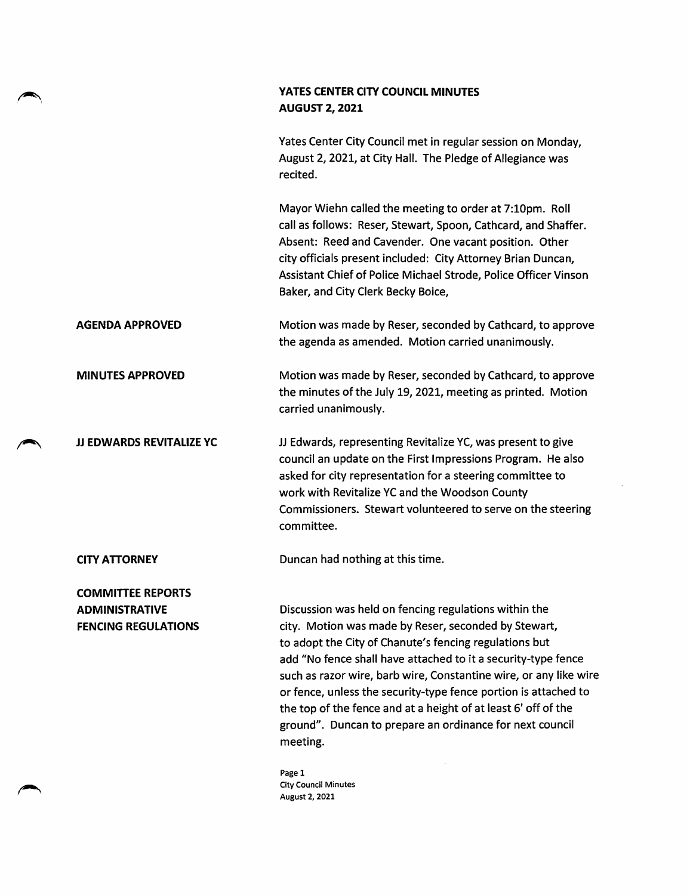## YATES CENTER CITY COUNCIL MINUTES AUGUST 2, 2021

Yates Center City Council met in regular session on Monday, August 2,2021, at City Hall. The Pledge of Allegiance was recited.

Mayor Wiehn called the meeting to order at 7:10pm. Roll call as follows: Reser, Stewart, Spoon, Cathcard, and Shaffer. Absent: Reed and Cavender. One vacant position. Other city officials present included: City Attorney Brian Duncan, Assistant Chief of Police Michael Strode, Police Officer Vinson Baker, and City Clerk Becky Boice,

AGENDA APPROVED Motion was made by Reser, seconded by Cathcard, to approve the agenda as amended. Motion carried unanimously.

MINUTES APPROVED Motion was made by Reser, seconded by Cathcard, to approve the minutes of the July 19,2021, meeting as printed. Motion carried unanimously.

JJ EDWARDS REVITALIZE YC JJ Edwards, representing Revitalize YC, was present to give council an update on the First Impressions Program. He also asked for city representation for a steering committee to work with Revitalize YC and the Woodson County Commissioners. Stewart volunteered to serve on the steering committee.

**CITY ATTORNEY** Duncan had nothing at this time.

COMMITTEE REPORTS ADMINISTRATIVE FENCING REGULATIONS

Discussion was held on fencing regulations within the city. Motion was made by Reser, seconded by Stewart, to adopt the City of Chanute's fencing regulations but add "No fence shall have attached to it a security-type fence such as razor wire, barb wire, Constantine wire, or any like wire or fence, unless the security-type fence portion is attached to the top of the fence and at a height of at least 6' off of the ground". Duncan to prepare an ordinance for next council meeting.

Page 1 City Council Minutes August 2, 2021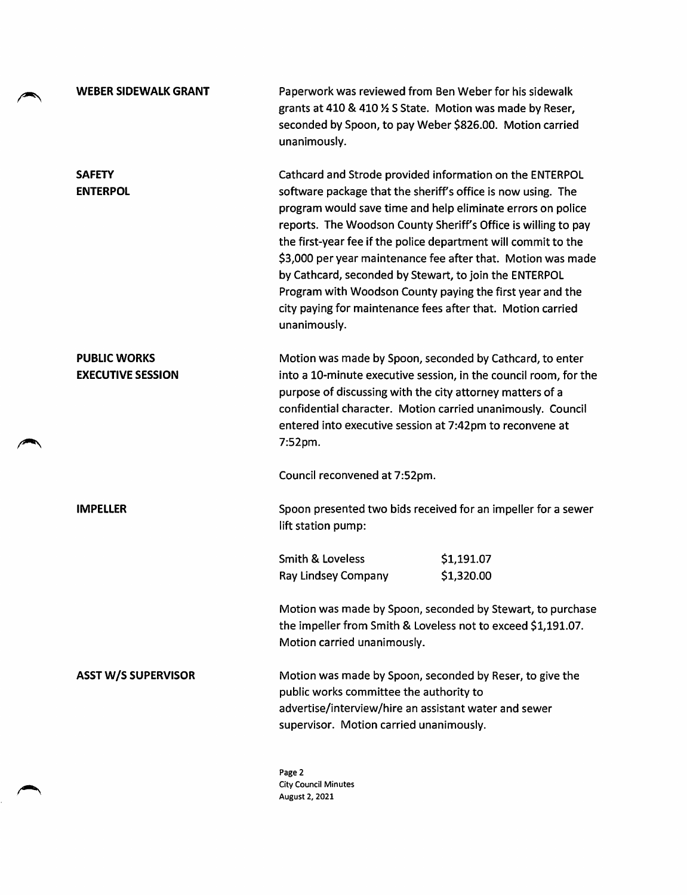|  | <b>WEBER SIDEWALK GRANT</b>                     | Paperwork was reviewed from Ben Weber for his sidewalk<br>grants at 410 & 410 % S State. Motion was made by Reser,<br>seconded by Spoon, to pay Weber \$826.00. Motion carried<br>unanimously.                                                                                                                                                                                                                                                                                                                                                                                                    |
|--|-------------------------------------------------|---------------------------------------------------------------------------------------------------------------------------------------------------------------------------------------------------------------------------------------------------------------------------------------------------------------------------------------------------------------------------------------------------------------------------------------------------------------------------------------------------------------------------------------------------------------------------------------------------|
|  | <b>SAFETY</b><br><b>ENTERPOL</b>                | Cathcard and Strode provided information on the ENTERPOL<br>software package that the sheriff's office is now using. The<br>program would save time and help eliminate errors on police<br>reports. The Woodson County Sheriff's Office is willing to pay<br>the first-year fee if the police department will commit to the<br>\$3,000 per year maintenance fee after that. Motion was made<br>by Cathcard, seconded by Stewart, to join the ENTERPOL<br>Program with Woodson County paying the first year and the<br>city paying for maintenance fees after that. Motion carried<br>unanimously. |
|  | <b>PUBLIC WORKS</b><br><b>EXECUTIVE SESSION</b> | Motion was made by Spoon, seconded by Cathcard, to enter<br>into a 10-minute executive session, in the council room, for the<br>purpose of discussing with the city attorney matters of a<br>confidential character. Motion carried unanimously. Council<br>entered into executive session at 7:42pm to reconvene at<br>7:52pm.                                                                                                                                                                                                                                                                   |
|  |                                                 | Council reconvened at 7:52pm.                                                                                                                                                                                                                                                                                                                                                                                                                                                                                                                                                                     |
|  | <b>IMPELLER</b>                                 | Spoon presented two bids received for an impeller for a sewer<br>lift station pump:                                                                                                                                                                                                                                                                                                                                                                                                                                                                                                               |
|  |                                                 | <b>Smith &amp; Loveless</b><br>\$1,191.07<br>Ray Lindsey Company<br>\$1,320.00                                                                                                                                                                                                                                                                                                                                                                                                                                                                                                                    |
|  |                                                 | Motion was made by Spoon, seconded by Stewart, to purchase<br>the impeller from Smith & Loveless not to exceed \$1,191.07.<br>Motion carried unanimously.                                                                                                                                                                                                                                                                                                                                                                                                                                         |
|  | <b>ASST W/S SUPERVISOR</b>                      | Motion was made by Spoon, seconded by Reser, to give the<br>public works committee the authority to<br>advertise/interview/hire an assistant water and sewer<br>supervisor. Motion carried unanimously.                                                                                                                                                                                                                                                                                                                                                                                           |
|  |                                                 | Page 2<br><b>City Council Minutes</b>                                                                                                                                                                                                                                                                                                                                                                                                                                                                                                                                                             |

August 2, 2021